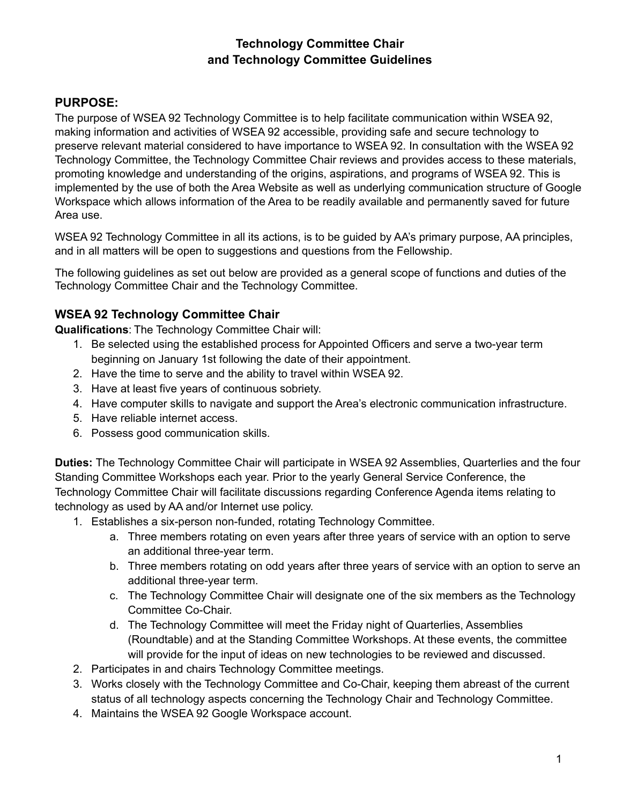# **Technology Committee Chair and Technology Committee Guidelines**

## **PURPOSE:**

The purpose of WSEA 92 Technology Committee is to help facilitate communication within WSEA 92, making information and activities of WSEA 92 accessible, providing safe and secure technology to preserve relevant material considered to have importance to WSEA 92. In consultation with the WSEA 92 Technology Committee, the Technology Committee Chair reviews and provides access to these materials, promoting knowledge and understanding of the origins, aspirations, and programs of WSEA 92. This is implemented by the use of both the Area Website as well as underlying communication structure of Google Workspace which allows information of the Area to be readily available and permanently saved for future Area use.

WSEA 92 Technology Committee in all its actions, is to be guided by AA's primary purpose, AA principles, and in all matters will be open to suggestions and questions from the Fellowship.

The following guidelines as set out below are provided as a general scope of functions and duties of the Technology Committee Chair and the Technology Committee.

### **WSEA 92 Technology Committee Chair**

**Qualifications**: The Technology Committee Chair will:

- 1. Be selected using the established process for Appointed Officers and serve a two-year term beginning on January 1st following the date of their appointment.
- 2. Have the time to serve and the ability to travel within WSEA 92.
- 3. Have at least five years of continuous sobriety.
- 4. Have computer skills to navigate and support the Area's electronic communication infrastructure.
- 5. Have reliable internet access.
- 6. Possess good communication skills.

**Duties:** The Technology Committee Chair will participate in WSEA 92 Assemblies, Quarterlies and the four Standing Committee Workshops each year. Prior to the yearly General Service Conference, the Technology Committee Chair will facilitate discussions regarding Conference Agenda items relating to technology as used by AA and/or Internet use policy.

- 1. Establishes a six-person non-funded, rotating Technology Committee.
	- a. Three members rotating on even years after three years of service with an option to serve an additional three-year term.
	- b. Three members rotating on odd years after three years of service with an option to serve an additional three-year term.
	- c. The Technology Committee Chair will designate one of the six members as the Technology Committee Co-Chair.
	- d. The Technology Committee will meet the Friday night of Quarterlies, Assemblies (Roundtable) and at the Standing Committee Workshops. At these events, the committee will provide for the input of ideas on new technologies to be reviewed and discussed.
- 2. Participates in and chairs Technology Committee meetings.
- 3. Works closely with the Technology Committee and Co-Chair, keeping them abreast of the current status of all technology aspects concerning the Technology Chair and Technology Committee.
- 4. Maintains the WSEA 92 Google Workspace account.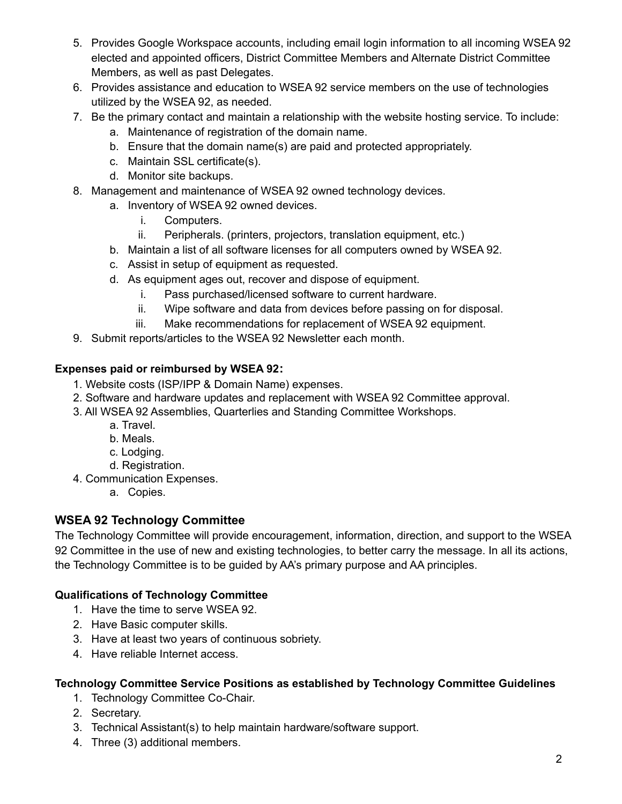- 5. Provides Google Workspace accounts, including email login information to all incoming WSEA 92 elected and appointed officers, District Committee Members and Alternate District Committee Members, as well as past Delegates.
- 6. Provides assistance and education to WSEA 92 service members on the use of technologies utilized by the WSEA 92, as needed.
- 7. Be the primary contact and maintain a relationship with the website hosting service. To include:
	- a. Maintenance of registration of the domain name.
	- b. Ensure that the domain name(s) are paid and protected appropriately.
	- c. Maintain SSL certificate(s).
	- d. Monitor site backups.
- 8. Management and maintenance of WSEA 92 owned technology devices.
	- a. Inventory of WSEA 92 owned devices.
		- i. Computers.
		- ii. Peripherals. (printers, projectors, translation equipment, etc.)
	- b. Maintain a list of all software licenses for all computers owned by WSEA 92.
	- c. Assist in setup of equipment as requested.
	- d. As equipment ages out, recover and dispose of equipment.
		- i. Pass purchased/licensed software to current hardware.
		- ii. Wipe software and data from devices before passing on for disposal.
		- iii. Make recommendations for replacement of WSEA 92 equipment.
- 9. Submit reports/articles to the WSEA 92 Newsletter each month.

### **Expenses paid or reimbursed by WSEA 92:**

- 1. Website costs (ISP/IPP & Domain Name) expenses.
- 2. Software and hardware updates and replacement with WSEA 92 Committee approval.
- 3. All WSEA 92 Assemblies, Quarterlies and Standing Committee Workshops.
	- a. Travel.
	- b. Meals.
	- c. Lodging.
	- d. Registration.
- 4. Communication Expenses.
	- a. Copies.

## **WSEA 92 Technology Committee**

The Technology Committee will provide encouragement, information, direction, and support to the WSEA 92 Committee in the use of new and existing technologies, to better carry the message. In all its actions, the Technology Committee is to be guided by AA's primary purpose and AA principles.

#### **Qualifications of Technology Committee**

- 1. Have the time to serve WSEA 92.
- 2. Have Basic computer skills.
- 3. Have at least two years of continuous sobriety.
- 4. Have reliable Internet access.

#### **Technology Committee Service Positions as established by Technology Committee Guidelines**

- 1. Technology Committee Co-Chair.
- 2. Secretary.
- 3. Technical Assistant(s) to help maintain hardware/software support.
- 4. Three (3) additional members.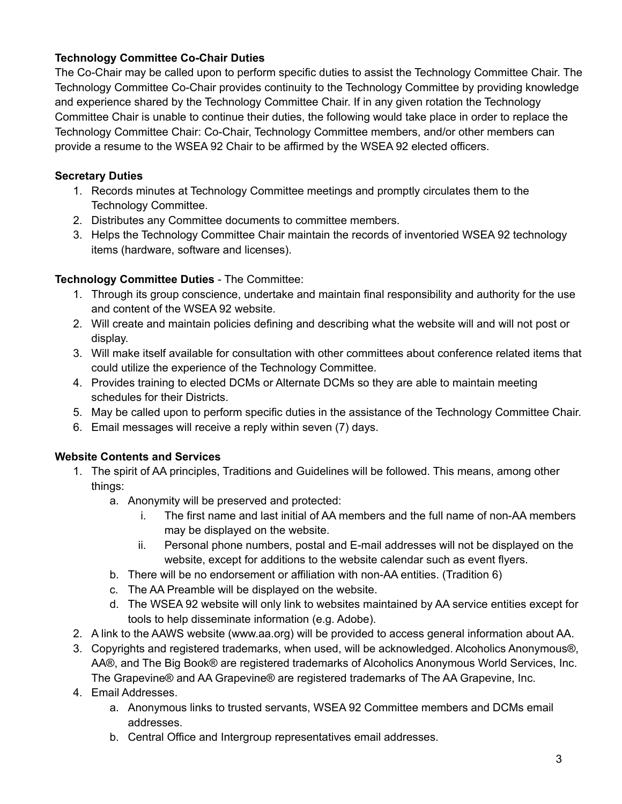### **Technology Committee Co-Chair Duties**

The Co-Chair may be called upon to perform specific duties to assist the Technology Committee Chair. The Technology Committee Co-Chair provides continuity to the Technology Committee by providing knowledge and experience shared by the Technology Committee Chair. If in any given rotation the Technology Committee Chair is unable to continue their duties, the following would take place in order to replace the Technology Committee Chair: Co-Chair, Technology Committee members, and/or other members can provide a resume to the WSEA 92 Chair to be affirmed by the WSEA 92 elected officers.

### **Secretary Duties**

- 1. Records minutes at Technology Committee meetings and promptly circulates them to the Technology Committee.
- 2. Distributes any Committee documents to committee members.
- 3. Helps the Technology Committee Chair maintain the records of inventoried WSEA 92 technology items (hardware, software and licenses).

## **Technology Committee Duties** - The Committee:

- 1. Through its group conscience, undertake and maintain final responsibility and authority for the use and content of the WSEA 92 website.
- 2. Will create and maintain policies defining and describing what the website will and will not post or display.
- 3. Will make itself available for consultation with other committees about conference related items that could utilize the experience of the Technology Committee.
- 4. Provides training to elected DCMs or Alternate DCMs so they are able to maintain meeting schedules for their Districts.
- 5. May be called upon to perform specific duties in the assistance of the Technology Committee Chair.
- 6. Email messages will receive a reply within seven (7) days.

#### **Website Contents and Services**

- 1. The spirit of AA principles, Traditions and Guidelines will be followed. This means, among other things:
	- a. Anonymity will be preserved and protected:
		- i. The first name and last initial of AA members and the full name of non-AA members may be displayed on the website.
		- ii. Personal phone numbers, postal and E-mail addresses will not be displayed on the website, except for additions to the website calendar such as event flyers.
	- b. There will be no endorsement or affiliation with non-AA entities. (Tradition 6)
	- c. The AA Preamble will be displayed on the website.
	- d. The WSEA 92 website will only link to websites maintained by AA service entities except for tools to help disseminate information (e.g. Adobe).
- 2. A link to the AAWS website (www.aa.org) will be provided to access general information about AA.
- 3. Copyrights and registered trademarks, when used, will be acknowledged. Alcoholics Anonymous®, AA®, and The Big Book® are registered trademarks of Alcoholics Anonymous World Services, Inc. The Grapevine® and AA Grapevine® are registered trademarks of The AA Grapevine, Inc.
- 4. Email Addresses.
	- a. Anonymous links to trusted servants, WSEA 92 Committee members and DCMs email addresses.
	- b. Central Office and Intergroup representatives email addresses.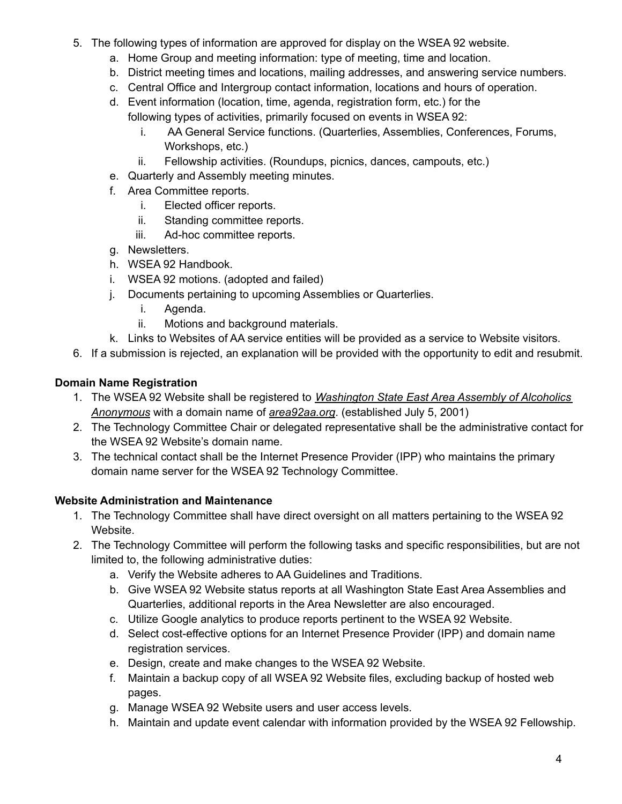- 5. The following types of information are approved for display on the WSEA 92 website.
	- a. Home Group and meeting information: type of meeting, time and location.
	- b. District meeting times and locations, mailing addresses, and answering service numbers.
	- c. Central Office and Intergroup contact information, locations and hours of operation.
	- d. Event information (location, time, agenda, registration form, etc.) for the following types of activities, primarily focused on events in WSEA 92:
		- i. AA General Service functions. (Quarterlies, Assemblies, Conferences, Forums, Workshops, etc.)
		- ii. Fellowship activities. (Roundups, picnics, dances, campouts, etc.)
	- e. Quarterly and Assembly meeting minutes.
	- f. Area Committee reports.
		- i. Elected officer reports.
		- ii. Standing committee reports.
		- iii. Ad-hoc committee reports.
	- g. Newsletters.
	- h. WSEA 92 Handbook.
	- i. WSEA 92 motions. (adopted and failed)
	- j. Documents pertaining to upcoming Assemblies or Quarterlies.
		- i. Agenda.
		- ii. Motions and background materials.
	- k. Links to Websites of AA service entities will be provided as a service to Website visitors.
- 6. If a submission is rejected, an explanation will be provided with the opportunity to edit and resubmit.

# **Domain Name Registration**

- 1. The WSEA 92 Website shall be registered to *Washington State East Area Assembly of Alcoholics Anonymous* with a domain name of *area92aa.org*. (established July 5, 2001)
- 2. The Technology Committee Chair or delegated representative shall be the administrative contact for the WSEA 92 Website's domain name.
- 3. The technical contact shall be the Internet Presence Provider (IPP) who maintains the primary domain name server for the WSEA 92 Technology Committee.

# **Website Administration and Maintenance**

- 1. The Technology Committee shall have direct oversight on all matters pertaining to the WSEA 92 Website.
- 2. The Technology Committee will perform the following tasks and specific responsibilities, but are not limited to, the following administrative duties:
	- a. Verify the Website adheres to AA Guidelines and Traditions.
	- b. Give WSEA 92 Website status reports at all Washington State East Area Assemblies and Quarterlies, additional reports in the Area Newsletter are also encouraged.
	- c. Utilize Google analytics to produce reports pertinent to the WSEA 92 Website.
	- d. Select cost-effective options for an Internet Presence Provider (IPP) and domain name registration services.
	- e. Design, create and make changes to the WSEA 92 Website.
	- f. Maintain a backup copy of all WSEA 92 Website files, excluding backup of hosted web pages.
	- g. Manage WSEA 92 Website users and user access levels.
	- h. Maintain and update event calendar with information provided by the WSEA 92 Fellowship.